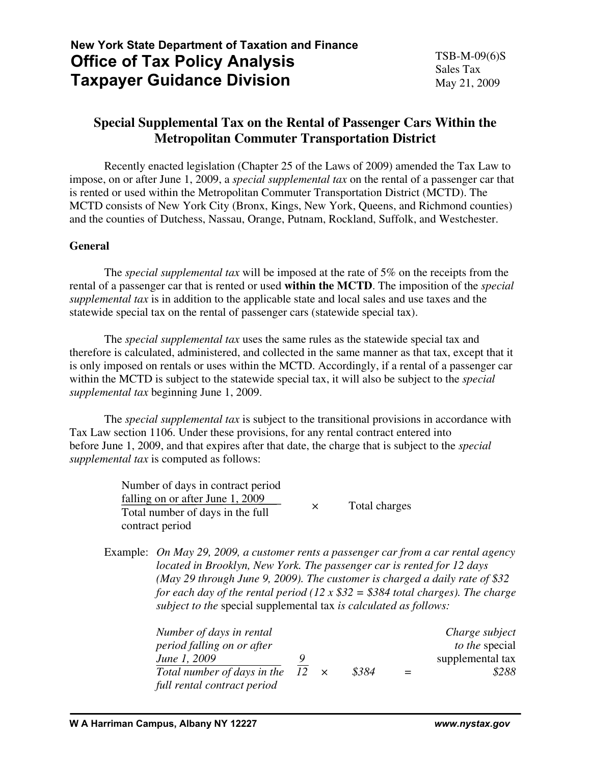# **New York State Department of Taxation and Finance Office of Tax Policy Analysis Taxpayer Guidance Division**

# **Special Supplemental Tax on the Rental of Passenger Cars Within the Metropolitan Commuter Transportation District**

 Recently enacted legislation (Chapter 25 of the Laws of 2009) amended the Tax Law to impose, on or after June 1, 2009, a *special supplemental tax* on the rental of a passenger car that is rented or used within the Metropolitan Commuter Transportation District (MCTD). The MCTD consists of New York City (Bronx, Kings, New York, Queens, and Richmond counties) and the counties of Dutchess, Nassau, Orange, Putnam, Rockland, Suffolk, and Westchester.

## **General**

 The *special supplemental tax* will be imposed at the rate of 5% on the receipts from the rental of a passenger car that is rented or used **within the MCTD**. The imposition of the *special supplemental tax* is in addition to the applicable state and local sales and use taxes and the statewide special tax on the rental of passenger cars (statewide special tax).

 The *special supplemental tax* uses the same rules as the statewide special tax and therefore is calculated, administered, and collected in the same manner as that tax, except that it is only imposed on rentals or uses within the MCTD. Accordingly, if a rental of a passenger car within the MCTD is subject to the statewide special tax, it will also be subject to the *special supplemental tax* beginning June 1, 2009.

 The *special supplemental tax* is subject to the transitional provisions in accordance with Tax Law section 1106. Under these provisions, for any rental contract entered into before June 1, 2009, and that expires after that date, the charge that is subject to the *special supplemental tax* is computed as follows:

| Number of days in contract period |          |               |
|-----------------------------------|----------|---------------|
| falling on or after June 1, 2009  |          |               |
| Total number of days in the full  | $\times$ | Total charges |
| contract period                   |          |               |

Example: *On May 29, 2009, a customer rents a passenger car from a car rental agency located in Brooklyn, New York. The passenger car is rented for 12 days (May 29 through June 9, 2009). The customer is charged a daily rate of \$32 for each day of the rental period (12 x \$32 = \$384 total charges). The charge subject to the* special supplemental tax *is calculated as follows:* 

| Number of days in rental                |  |       |     | Charge subject   |
|-----------------------------------------|--|-------|-----|------------------|
| period falling on or after              |  |       |     | to the special   |
| June 1, 2009                            |  |       |     | supplemental tax |
| Total number of days in the $12 \times$ |  | \$384 | $=$ | \$288            |
| full rental contract period             |  |       |     |                  |